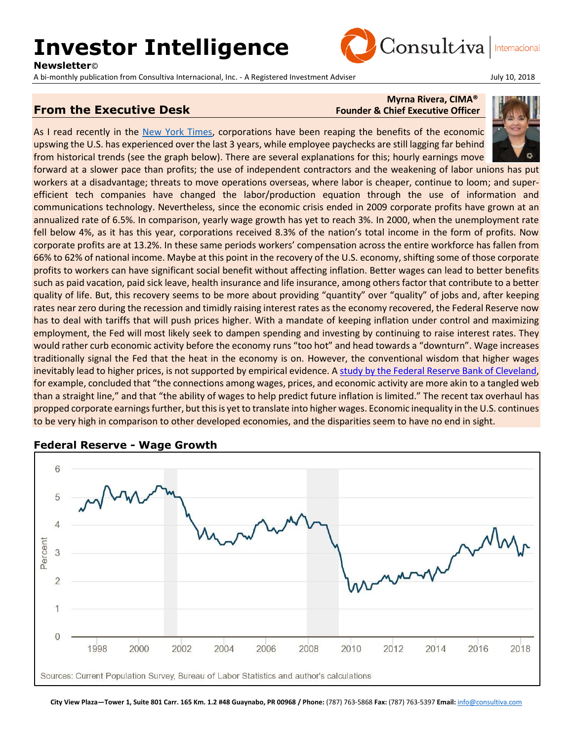# **Investor Intelligence**

**Newsletter**©

A bi-monthly publication from Consultiva Internacional, Inc. - A Registered Investment Adviser Francesco Andre July 10, 2018

### **From the Executive Desk** Founder & Chief Executive Officer

## **Myrna Rivera, CIMA®**

As I read recently in the [New York Times,](https://www.nytimes.com/2018/07/13/business/economy/wages-workers-profits.html) corporations have been reaping the benefits of the economic upswing the U.S. has experienced over the last 3 years, while employee paychecks are still lagging far behind from historical trends (see the graph below). There are several explanations for this; hourly earnings move

forward at a slower pace than profits; the use of independent contractors and the weakening of labor unions has put workers at a disadvantage; threats to move operations overseas, where labor is cheaper, continue to loom; and superefficient tech companies have changed the labor/production equation through the use of information and communications technology. Nevertheless, since the economic crisis ended in 2009 corporate profits have grown at an annualized rate of 6.5%. In comparison, yearly wage growth has yet to reach 3%. In 2000, when the unemployment rate fell below 4%, as it has this year, corporations received 8.3% of the nation's total income in the form of profits. Now corporate profits are at 13.2%. In these same periods workers' compensation across the entire workforce has fallen from 66% to 62% of national income. Maybe at this point in the recovery of the U.S. economy, shifting some of those corporate profits to workers can have significant social benefit without affecting inflation. Better wages can lead to better benefits such as paid vacation, paid sick leave, health insurance and life insurance, among others factor that contribute to a better quality of life. But, this recovery seems to be more about providing "quantity" over "quality" of jobs and, after keeping rates near zero during the recession and timidly raising interest rates as the economy recovered, the Federal Reserve now has to deal with tariffs that will push prices higher. With a mandate of keeping inflation under control and maximizing employment, the Fed will most likely seek to dampen spending and investing by continuing to raise interest rates. They would rather curb economic activity before the economy runs "too hot" and head towards a "downturn". Wage increases traditionally signal the Fed that the heat in the economy is on. However, the conventional wisdom that higher wages inevitably lead to higher prices, is not supported by empirical evidence. A [study by the Federal Reserve Bank of Cleveland,](https://www.clevelandfed.org/newsroom-and-events/publications/economic-commentary/2014-economic-commentaries/ec-201414-on-the-relationships-between-wages-prices-and-economic-activity.aspx) for example, concluded that "the connections among wages, prices, and economic activity are more akin to a tangled web than a straight line," and that "the ability of wages to help predict future inflation is limited." The recent tax overhaul has propped corporate earnings further, but this is yet to translate into higher wages. Economic inequality in the U.S. continues to be very high in comparison to other developed economies, and the disparities seem to have no end in sight.



#### **Federal Reserve - Wage Growth**

**City View Plaza—Tower 1, Suite 801 Carr. 165 Km. 1.2 #48 Guaynabo, PR 00968 / Phone:** (787) 763-5868 **Fax:** (787) 763-5397 **Email:** [info@consultiva.com](mailto:%20info@consultiva.com)



Consultiva Internacional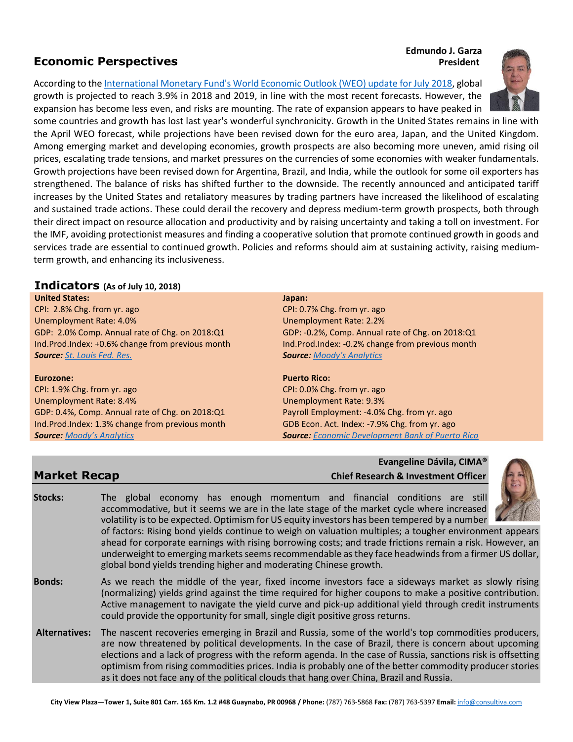### **Economic Perspectives** *President* **President**

### **Edmundo J. Garza**

According to th[e International Monetary Fund's World Economic Outlook \(WEO\) update for July 2018,](http://www.imf.org/en/Publications/WEO/Issues/2018/07/02/world-economic-outlook-update-july-2018) global growth is projected to reach 3.9% in 2018 and 2019, in line with the most recent forecasts. However, the



expansion has become less even, and risks are mounting. The rate of expansion appears to have peaked in some countries and growth has lost last year's wonderful synchronicity. Growth in the United States remains in line with the April WEO forecast, while projections have been revised down for the euro area, Japan, and the United Kingdom. Among emerging market and developing economies, growth prospects are also becoming more uneven, amid rising oil prices, escalating trade tensions, and market pressures on the currencies of some economies with weaker fundamentals. Growth projections have been revised down for Argentina, Brazil, and India, while the outlook for some oil exporters has strengthened. The balance of risks has shifted further to the downside. The recently announced and anticipated tariff increases by the United States and retaliatory measures by trading partners have increased the likelihood of escalating and sustained trade actions. These could derail the recovery and depress medium-term growth prospects, both through their direct impact on resource allocation and productivity and by raising uncertainty and taking a toll on investment. For the IMF, avoiding protectionist measures and finding a cooperative solution that promote continued growth in goods and services trade are essential to continued growth. Policies and reforms should aim at sustaining activity, raising mediumterm growth, and enhancing its inclusiveness.

#### **Indicators (As of July 10, 2018)**

#### **United States:**

CPI: 2.8% Chg. from yr. ago Unemployment Rate: 4.0% GDP: 2.0% Comp. Annual rate of Chg. on 2018:Q1 Ind.Prod.Index: +0.6% change from previous month *Source: [St. Louis Fed. Res.](http://research.stlouisfed.org/)*

#### **Eurozone:**

CPI: 1.9% Chg. from yr. ago Unemployment Rate: 8.4% GDP: 0.4%, Comp. Annual rate of Chg. on 2018:Q1 Ind.Prod.Index: 1.3% change from previous month *Source: [Moody's Analytics](https://www.economy.com/dismal/)*

#### **Japan:**

CPI: 0.7% Chg. from yr. ago Unemployment Rate: 2.2% GDP: -0.2%, Comp. Annual rate of Chg. on 2018:Q1 Ind.Prod.Index: -0.2% change from previous month *Source: [Moody's Analytics](https://www.economy.com/dismal/)*

#### **Puerto Rico:**

CPI: 0.0% Chg. from yr. ago Unemployment Rate: 9.3% Payroll Employment: -4.0% Chg. from yr. ago GDB Econ. Act. Index: -7.9% Chg. from yr. ago *Source: [Economic Development Bank of Puerto Rico](https://www.bde.pr.gov/BDESite/index.html)*

#### **Evangeline Dávila, CIMA® Market Recap Chief Research & Investment Officer**



**Alternatives:** The nascent recoveries emerging in Brazil and Russia, some of the world's top commodities producers, are now threatened by political developments. In the case of Brazil, there is concern about upcoming elections and a lack of progress with the reform agenda. In the case of Russia, sanctions risk is offsetting optimism from rising commodities prices. India is probably one of the better commodity producer stories as it does not face any of the political clouds that hang over China, Brazil and Russia.